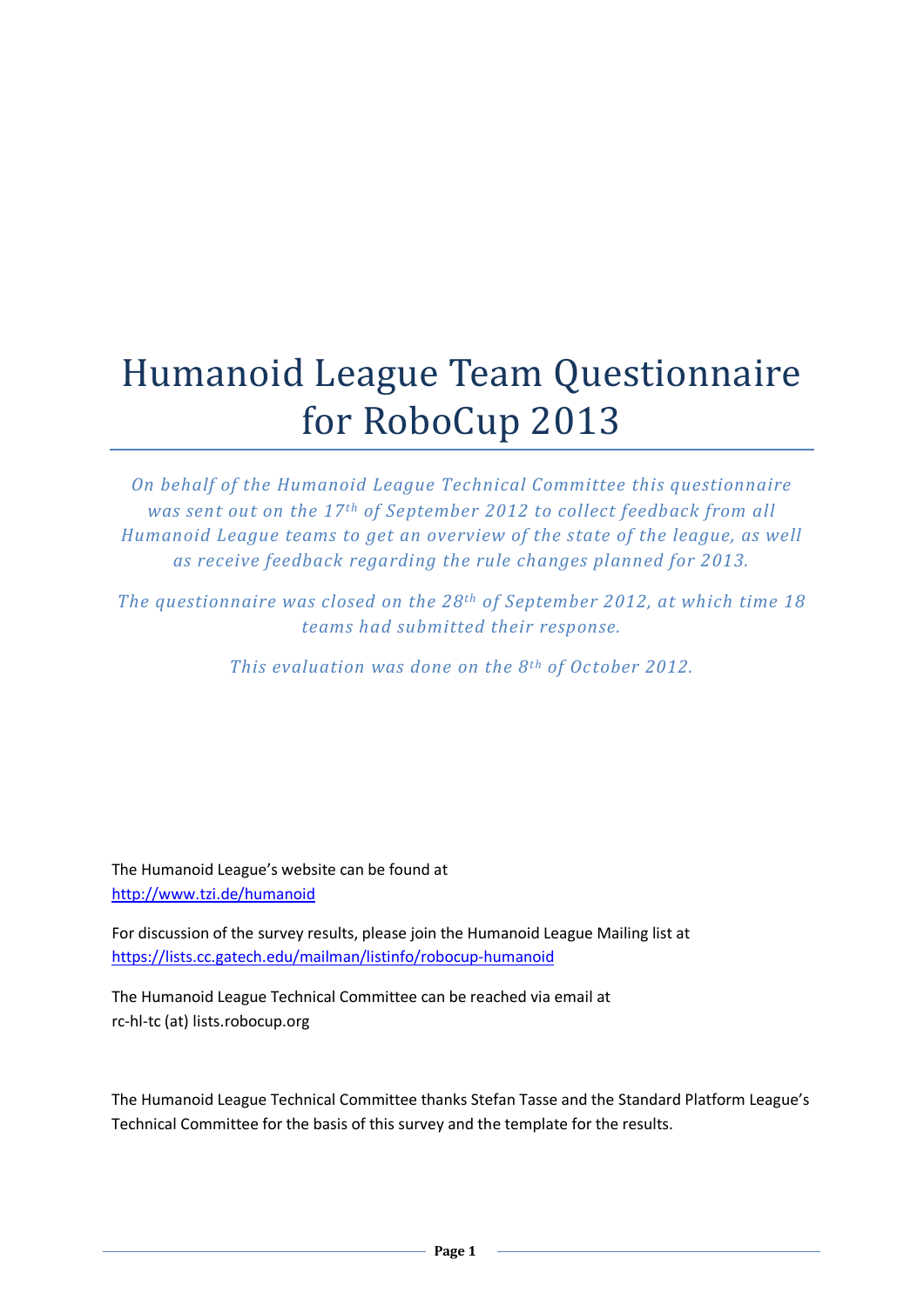## Humanoid League Team Questionnaire for RoboCup 2013

*On behalf of the Humanoid League Technical Committee this questionnaire was* sent out on the 17<sup>th</sup> of September 2012 to collect feedback from all *Humanoid League teams to get an overview of the state of the league, as well as receive feedback regarding the rule changes planned for 2013.*

*The questionnaire was closed on the 28th of September 2012, at which time 18 teams had submitted their response.*

*This evaluation was done on the 8<sup>th</sup> of October 2012.* 

The Humanoid League's website can be found at <http://www.tzi.de/humanoid>

For discussion of the survey results, please join the Humanoid League Mailing list at <https://lists.cc.gatech.edu/mailman/listinfo/robocup-humanoid>

The Humanoid League Technical Committee can be reached via email at rc-hl-tc (at) lists.robocup.org

The Humanoid League Technical Committee thanks Stefan Tasse and the Standard Platform League's Technical Committee for the basis of this survey and the template for the results.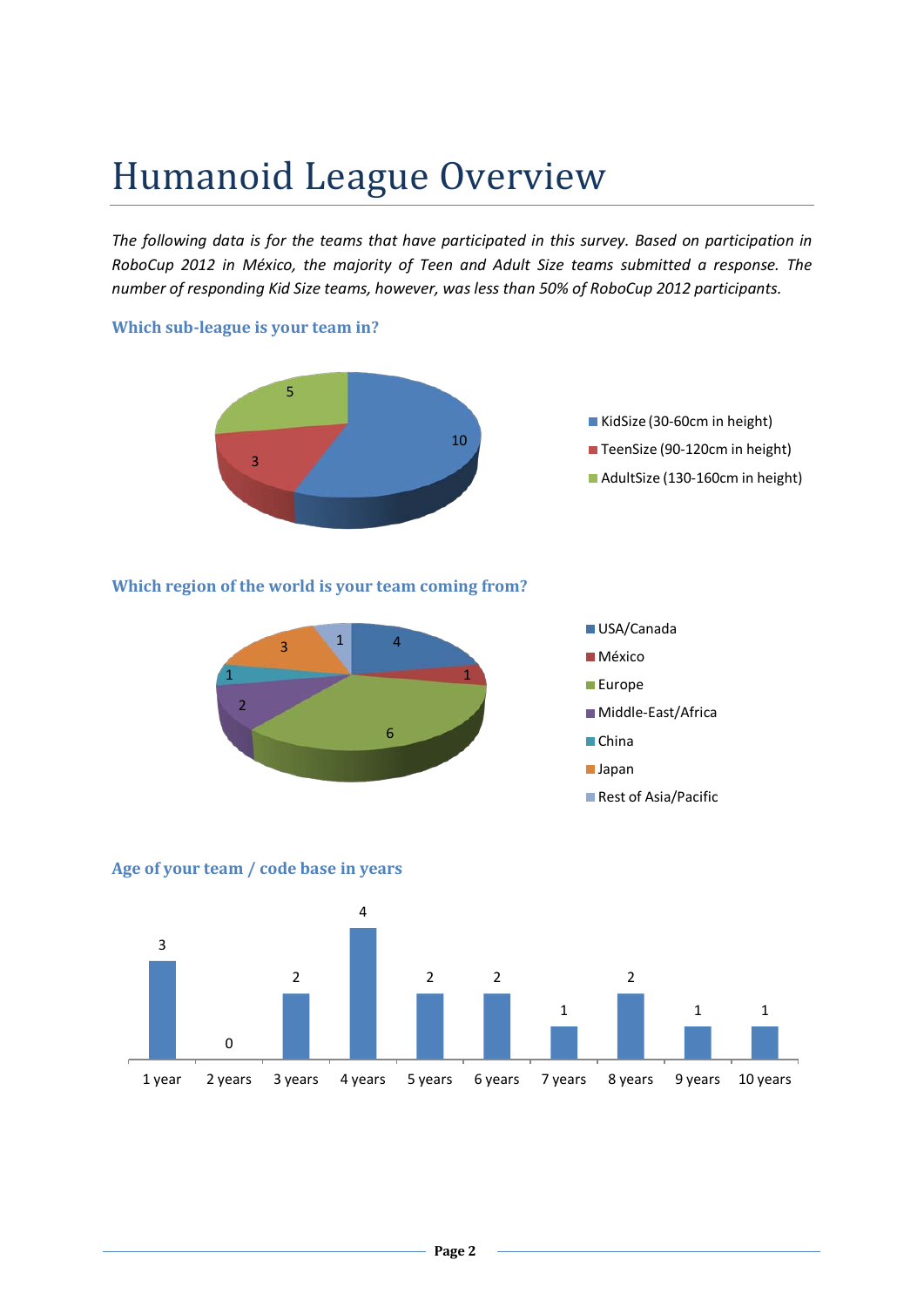## Humanoid League Overview

*The following data is for the teams that have participated in this survey. Based on participation in RoboCup 2012 in México, the majority of Teen and Adult Size teams submitted a response. The number of responding Kid Size teams, however, was less than 50% of RoboCup 2012 participants.*

#### **Which sub-league is your team in?**



### **Which region of the world is your team coming from?**



### **Age of your team / code base in years**

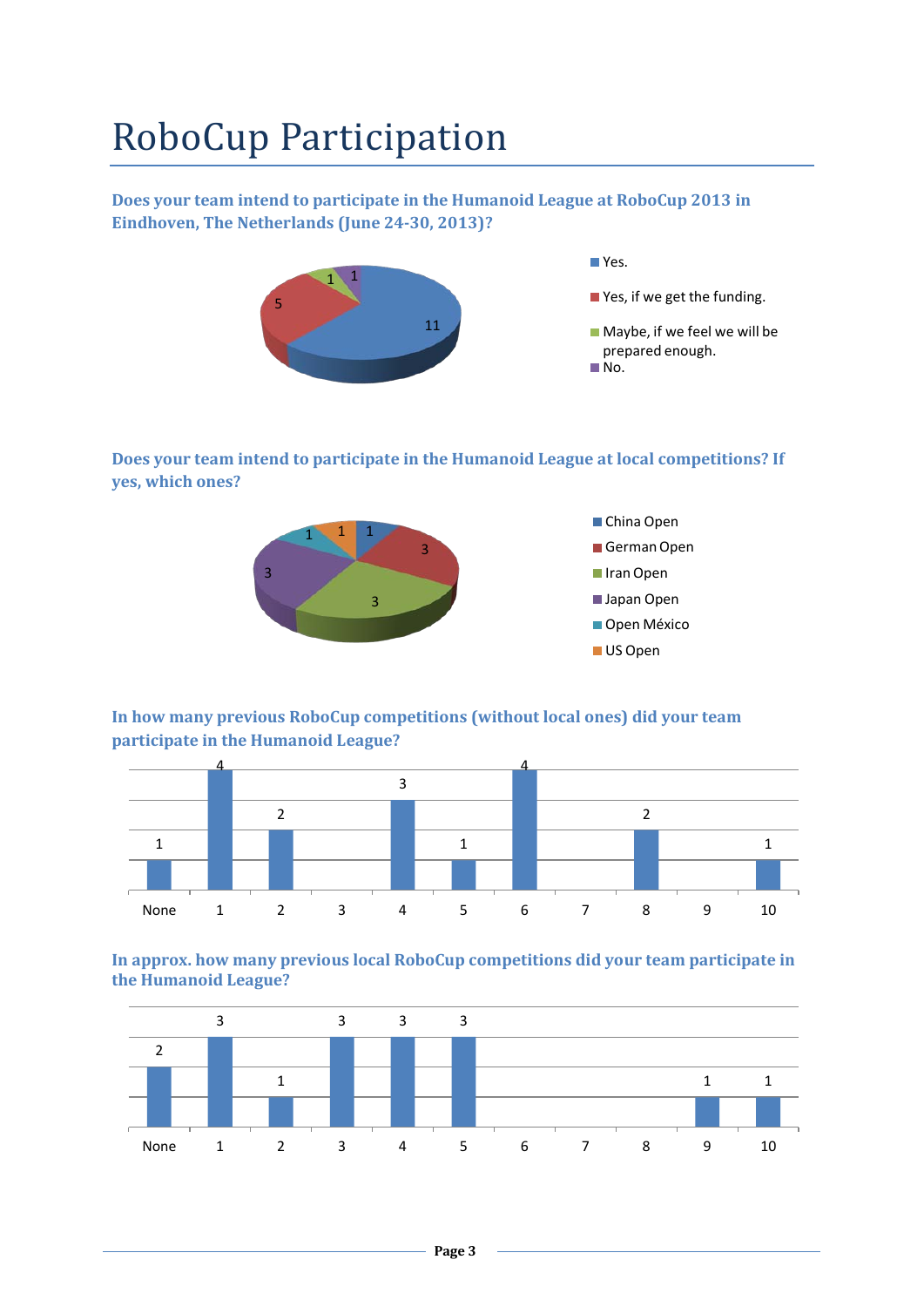## RoboCup Participation

**Does your team intend to participate in the Humanoid League at RoboCup 2013 in Eindhoven, The Netherlands (June 24-30, 2013)?**



**Does your team intend to participate in the Humanoid League at local competitions? If yes, which ones?**



**In how many previous RoboCup competitions (without local ones) did your team participate in the Humanoid League?**



**In approx. how many previous local RoboCup competitions did your team participate in the Humanoid League?**

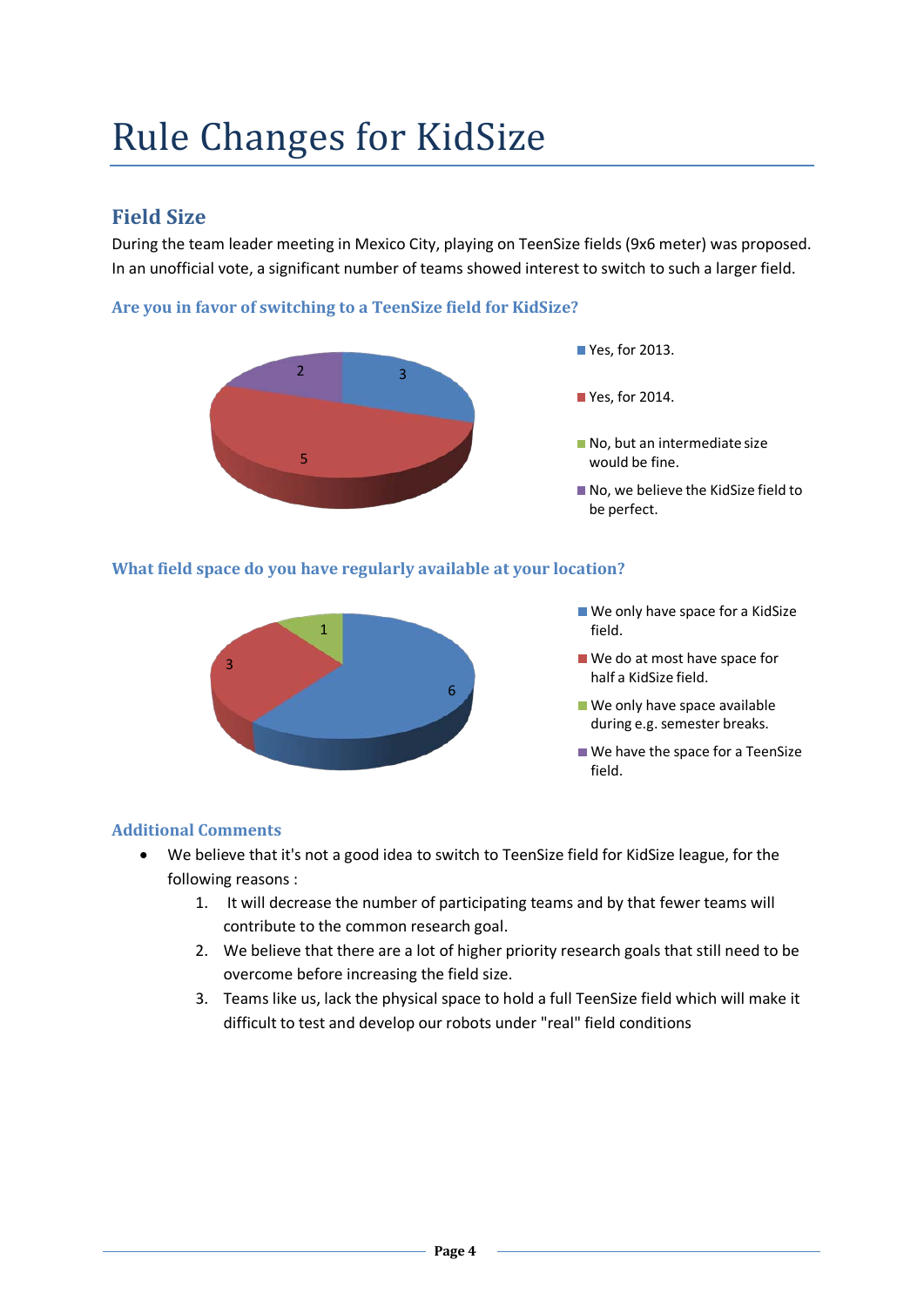## Rule Changes for KidSize

### **Field Size**

During the team leader meeting in Mexico City, playing on TeenSize fields (9x6 meter) was proposed. In an unofficial vote, a significant number of teams showed interest to switch to such a larger field.

### **Are you in favor of switching to a TeenSize field for KidSize?**



### **What field space do you have regularly available at your location?**



- We only have space for a KidSize field.
- We do at most have space for half a KidSize field.
- We only have space available during e.g. semester breaks.
- We have the space for a TeenSize field.

### **Additional Comments**

- We believe that it's not a good idea to switch to TeenSize field for KidSize league, for the following reasons :
	- 1. It will decrease the number of participating teams and by that fewer teams will contribute to the common research goal.
	- 2. We believe that there are a lot of higher priority research goals that still need to be overcome before increasing the field size.
	- 3. Teams like us, lack the physical space to hold a full TeenSize field which will make it difficult to test and develop our robots under "real" field conditions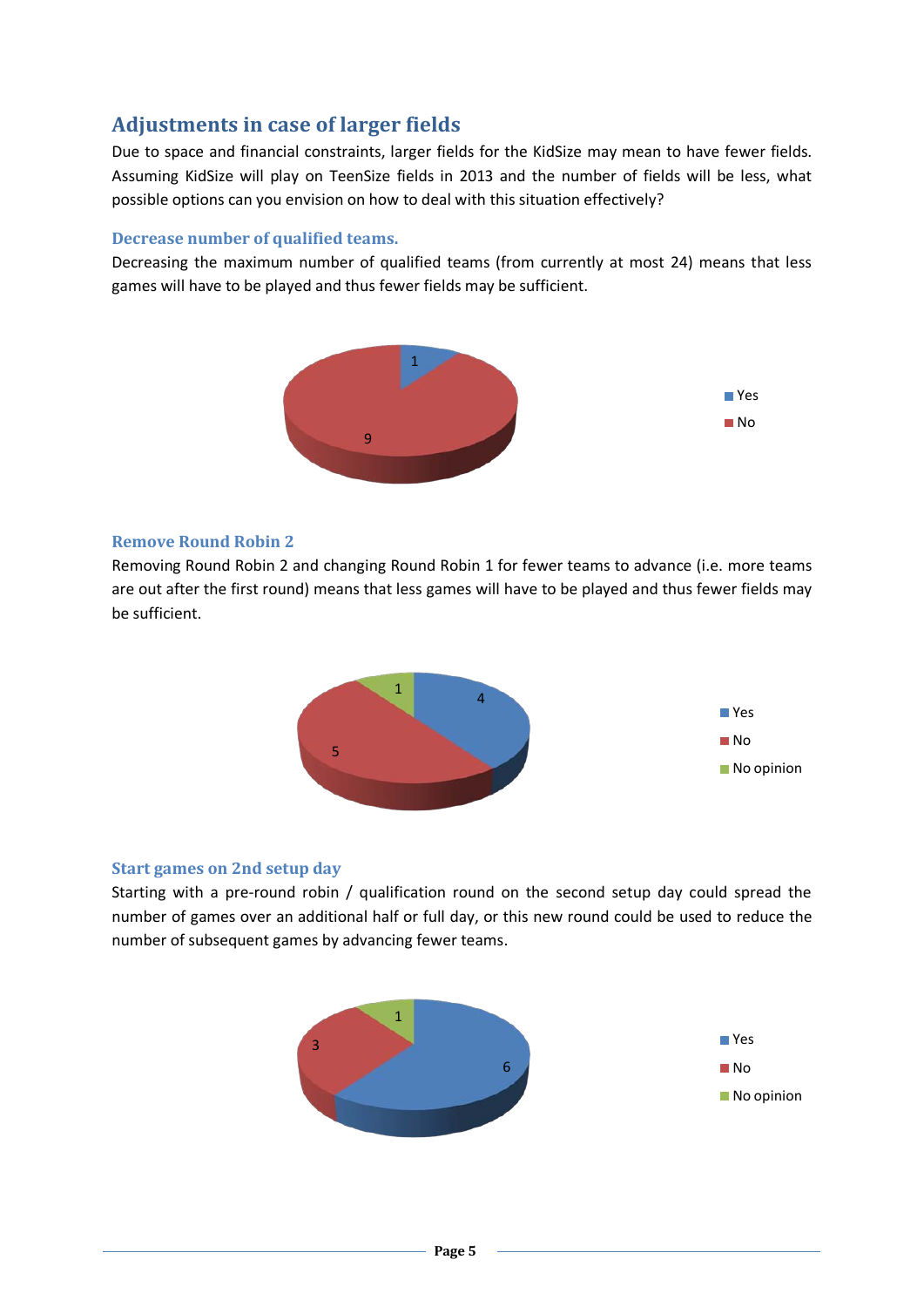### **Adjustments in case of larger fields**

Due to space and financial constraints, larger fields for the KidSize may mean to have fewer fields. Assuming KidSize will play on TeenSize fields in 2013 and the number of fields will be less, what possible options can you envision on how to deal with this situation effectively?

### **Decrease number of qualified teams.**

Decreasing the maximum number of qualified teams (from currently at most 24) means that less games will have to be played and thus fewer fields may be sufficient.



#### **Remove Round Robin 2**

Removing Round Robin 2 and changing Round Robin 1 for fewer teams to advance (i.e. more teams are out after the first round) means that less games will have to be played and thus fewer fields may be sufficient.



#### **Start games on 2nd setup day**

Starting with a pre-round robin / qualification round on the second setup day could spread the number of games over an additional half or full day, or this new round could be used to reduce the number of subsequent games by advancing fewer teams.

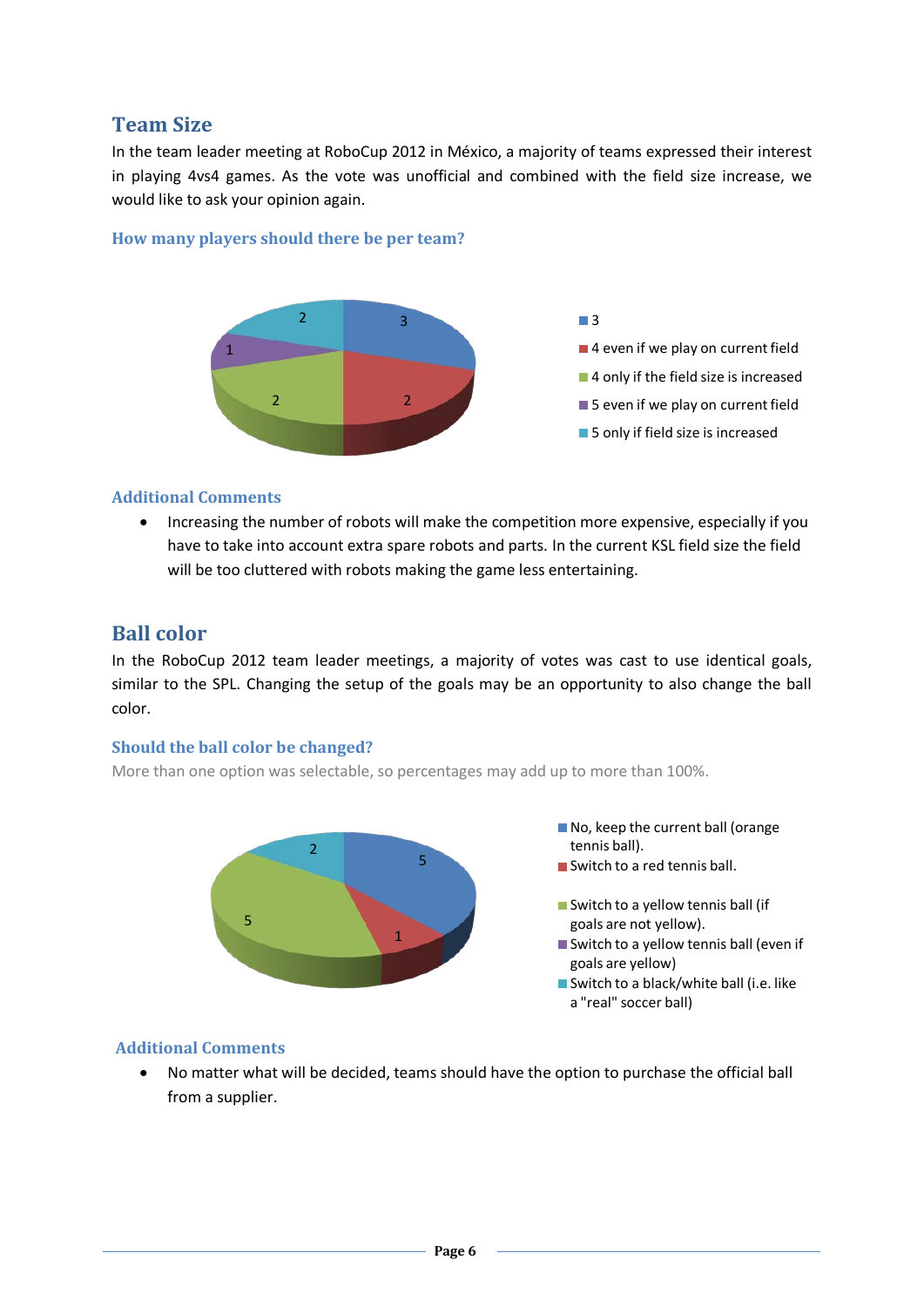### **Team Size**

In the team leader meeting at RoboCup 2012 in México, a majority of teams expressed their interest in playing 4vs4 games. As the vote was unofficial and combined with the field size increase, we would like to ask your opinion again.

### **How many players should there be per team?**



#### **Additional Comments**

• Increasing the number of robots will make the competition more expensive, especially if you have to take into account extra spare robots and parts. In the current KSL field size the field will be too cluttered with robots making the game less entertaining.

### **Ball color**

In the RoboCup 2012 team leader meetings, a majority of votes was cast to use identical goals, similar to the SPL. Changing the setup of the goals may be an opportunity to also change the ball color.

#### **Should the ball color be changed?**

More than one option was selectable, so percentages may add up to more than 100%.



- No, keep the current ball (orange tennis ball).
- Switch to a red tennis ball.
- Switch to a yellow tennis ball (if goals are not yellow).
- Switch to a yellow tennis ball (even if goals are yellow)
- Switch to a black/white ball (i.e. like a "real" soccer ball)

### **Additional Comments**

• No matter what will be decided, teams should have the option to purchase the official ball from a supplier.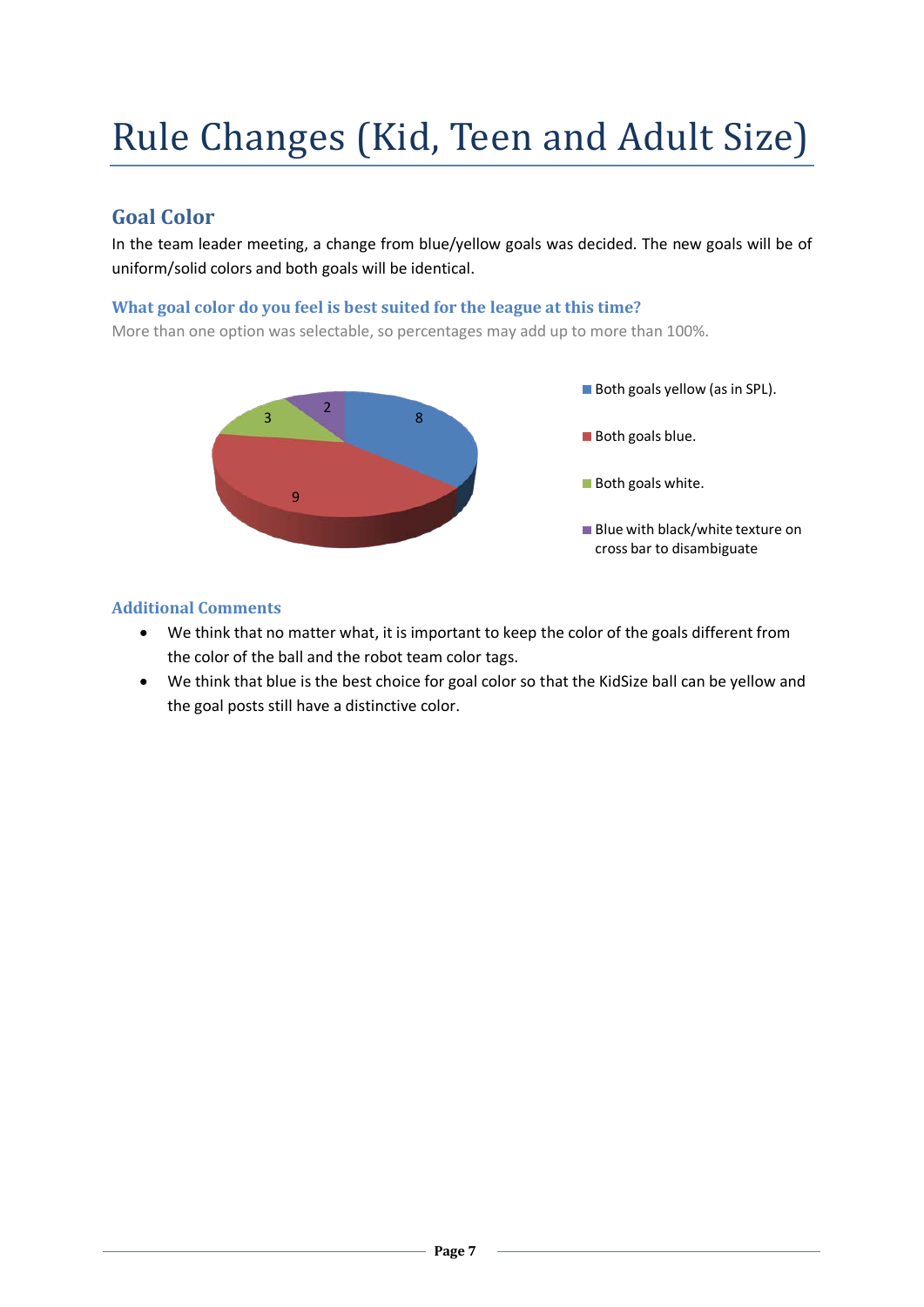# Rule Changes (Kid, Teen and Adult Size)

### **Goal Color**

In the team leader meeting, a change from blue/yellow goals was decided. The new goals will be of uniform/solid colors and both goals will be identical.

### **What goal color do you feel is best suited for the league at this time?**

More than one option was selectable, so percentages may add up to more than 100%.



### **Additional Comments**

- We think that no matter what, it is important to keep the color of the goals different from the color of the ball and the robot team color tags.
- We think that blue is the best choice for goal color so that the KidSize ball can be yellow and the goal posts still have a distinctive color.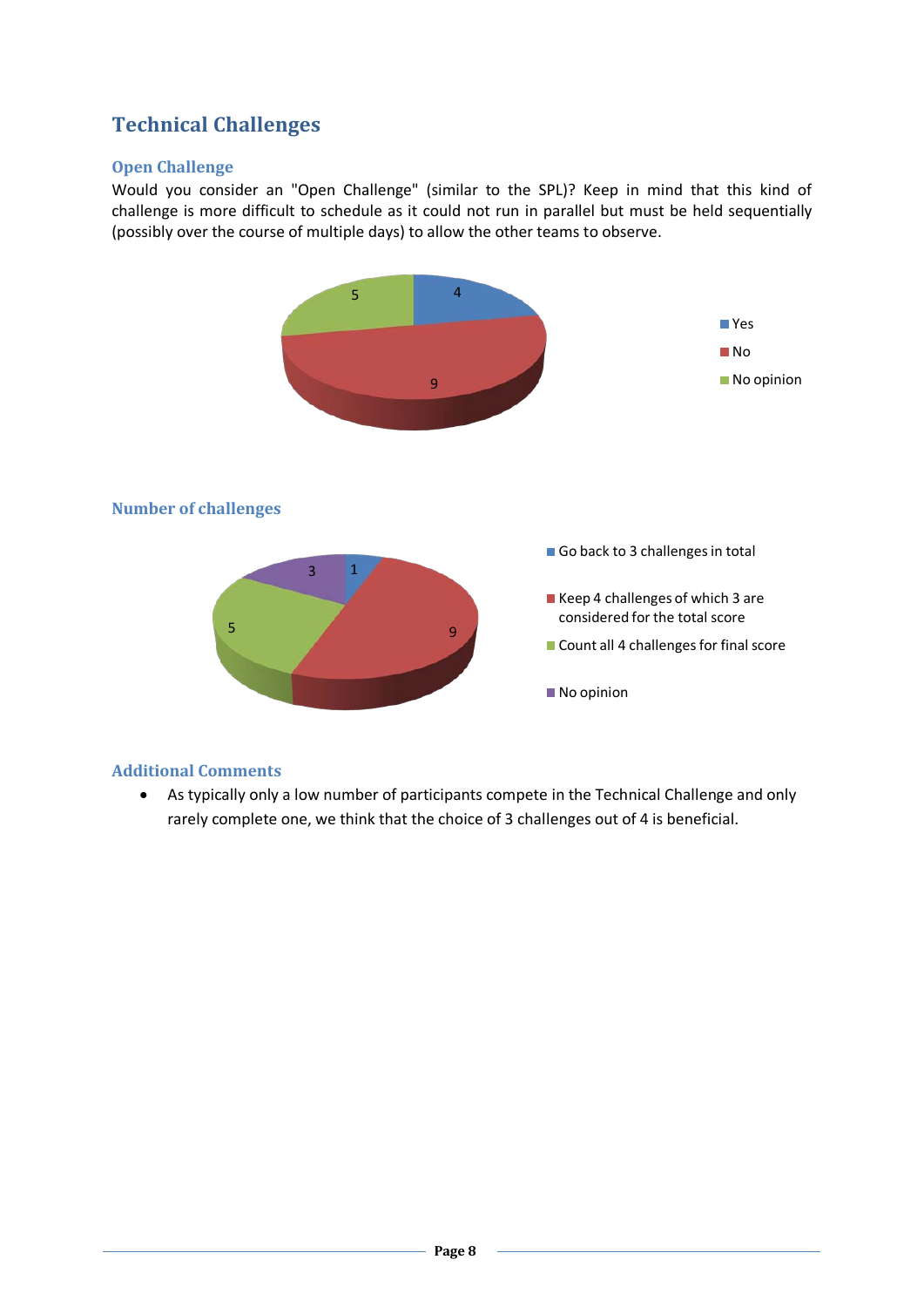### **Technical Challenges**

### **Open Challenge**

Would you consider an "Open Challenge" (similar to the SPL)? Keep in mind that this kind of challenge is more difficult to schedule as it could not run in parallel but must be held sequentially (possibly over the course of multiple days) to allow the other teams to observe.



### **Additional Comments**

• As typically only a low number of participants compete in the Technical Challenge and only rarely complete one, we think that the choice of 3 challenges out of 4 is beneficial.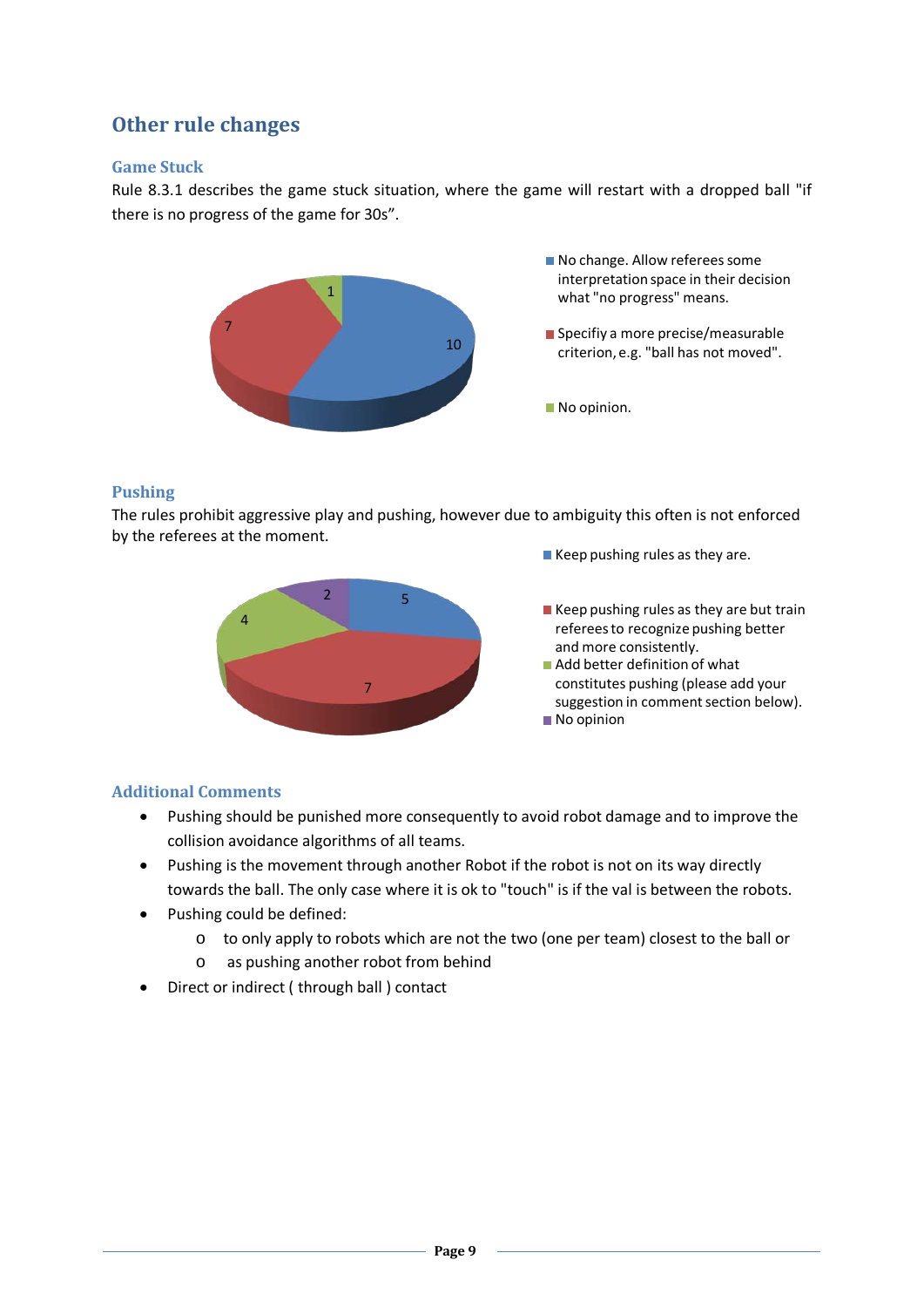### **Other rule changes**

### **Game Stuck**

Rule 8.3.1 describes the game stuck situation, where the game will restart with a dropped ball "if there is no progress of the game for 30s".



### **Pushing**

The rules prohibit aggressive play and pushing, however due to ambiguity this often is not enforced by the referees at the moment.



- Keep pushing rules as they are.
- $\blacksquare$  Keep pushing rules as they are but train referees to recognize pushing better and more consistently.
- Add better definition of what constitutes pushing (please add your suggestion in comment section below). No opinion

### **Additional Comments**

- Pushing should be punished more consequently to avoid robot damage and to improve the collision avoidance algorithms of all teams.
- Pushing is the movement through another Robot if the robot is not on its way directly towards the ball. The only case where it is ok to "touch" is if the val is between the robots.
- Pushing could be defined:
	- o to only apply to robots which are not the two (one per team) closest to the ball or
	- o as pushing another robot from behind
- Direct or indirect ( through ball ) contact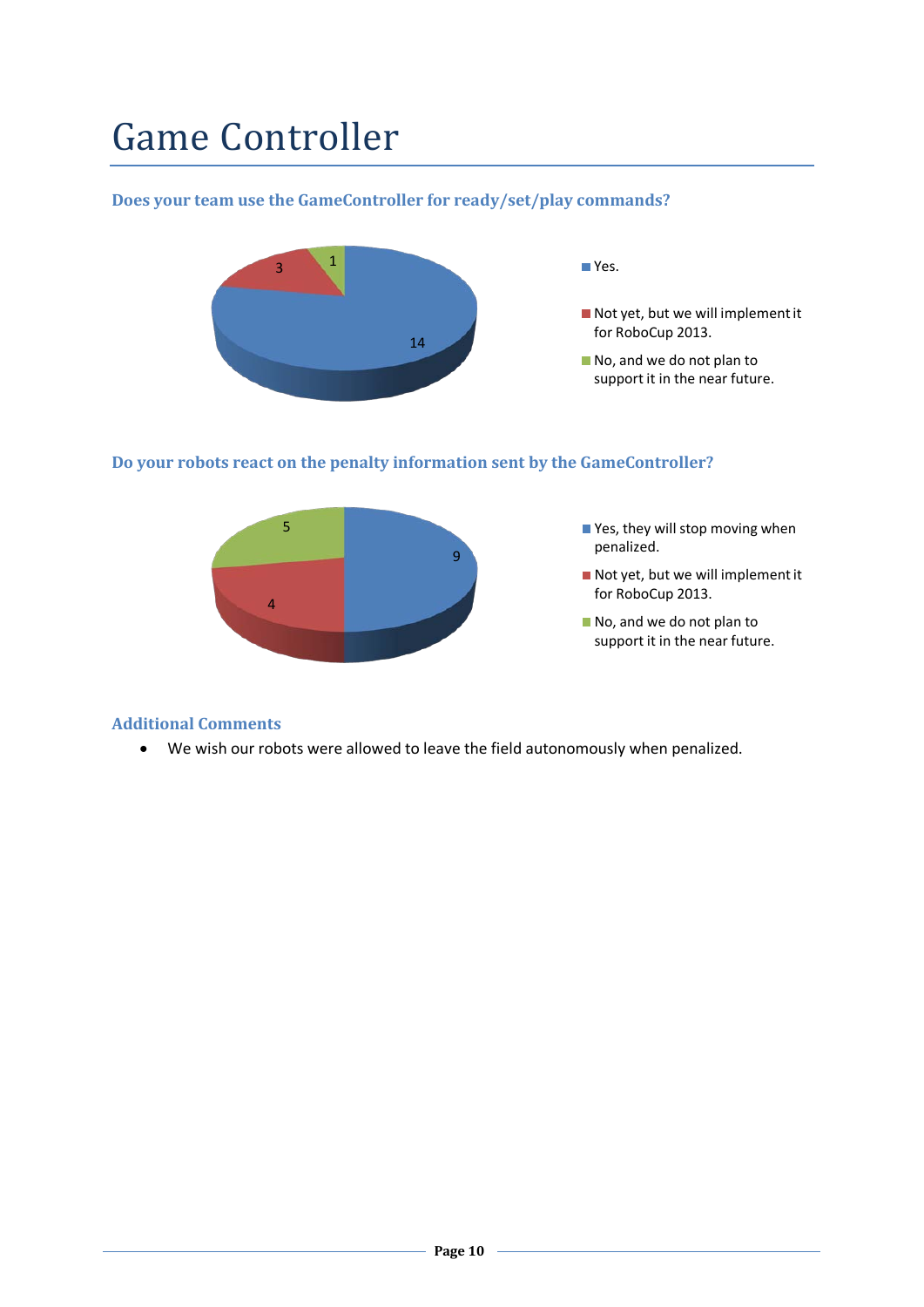## Game Controller

### **Does your team use the GameController for ready/set/play commands?**



### **Do your robots react on the penalty information sent by the GameController?**



### **Additional Comments**

• We wish our robots were allowed to leave the field autonomously when penalized.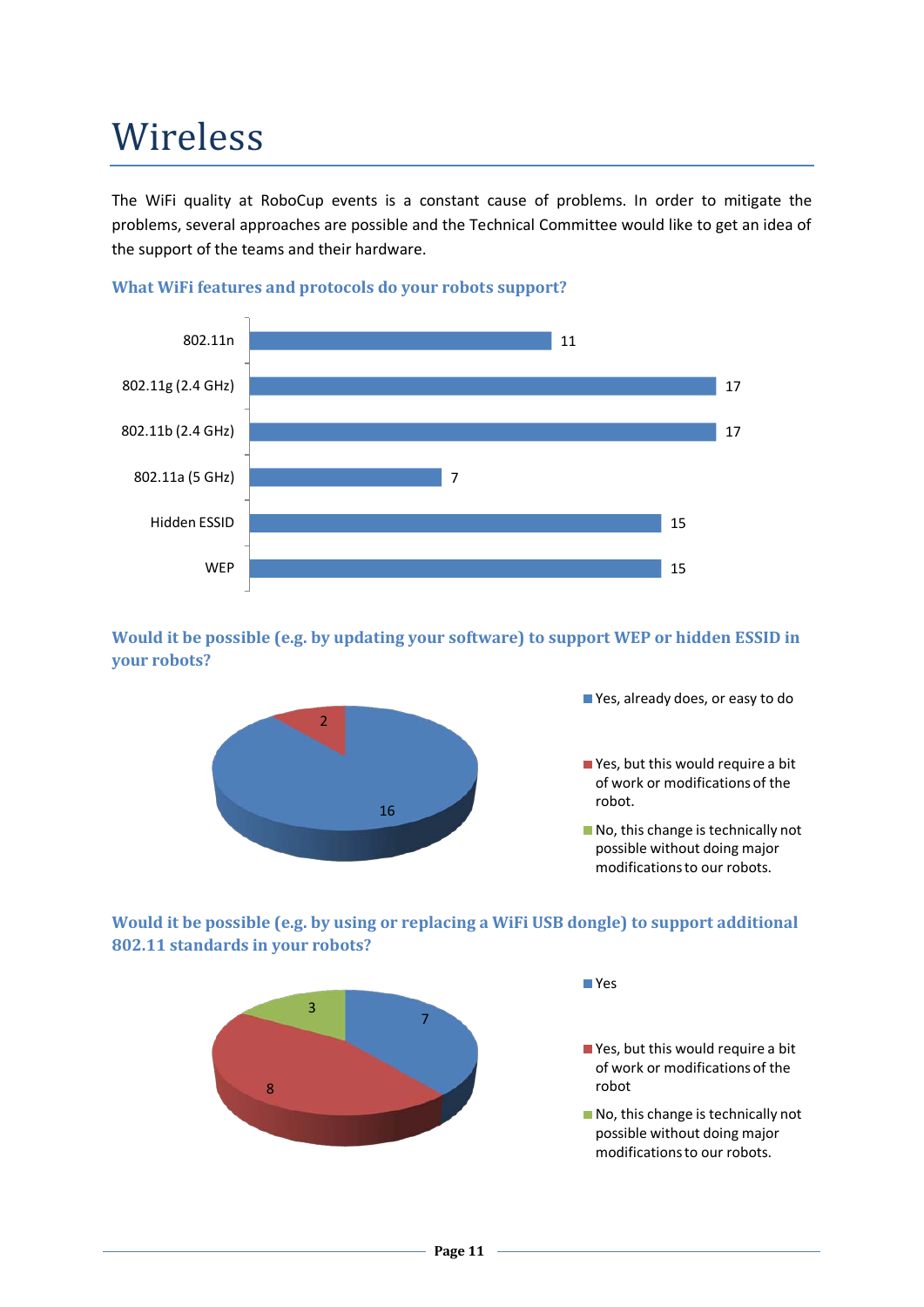## Wireless

The WiFi quality at RoboCup events is a constant cause of problems. In order to mitigate the problems, several approaches are possible and the Technical Committee would like to get an idea of the support of the teams and their hardware.



### **What WiFi features and protocols do your robots support?**

**Would it be possible (e.g. by updating your software) to support WEP or hidden ESSID in your robots?**



Yes, already does, or easy to do

■ Yes, but this would require a bit of work or modifications of the robot.

No, this change is technically not possible without doing major modifications to our robots.

**Would it be possible (e.g. by using or replacing a WiFi USB dongle) to support additional 802.11 standards in your robots?**



Yes

■ Yes, but this would require a bit of work or modifications of the robot

No, this change is technically not possible without doing major modifications to our robots.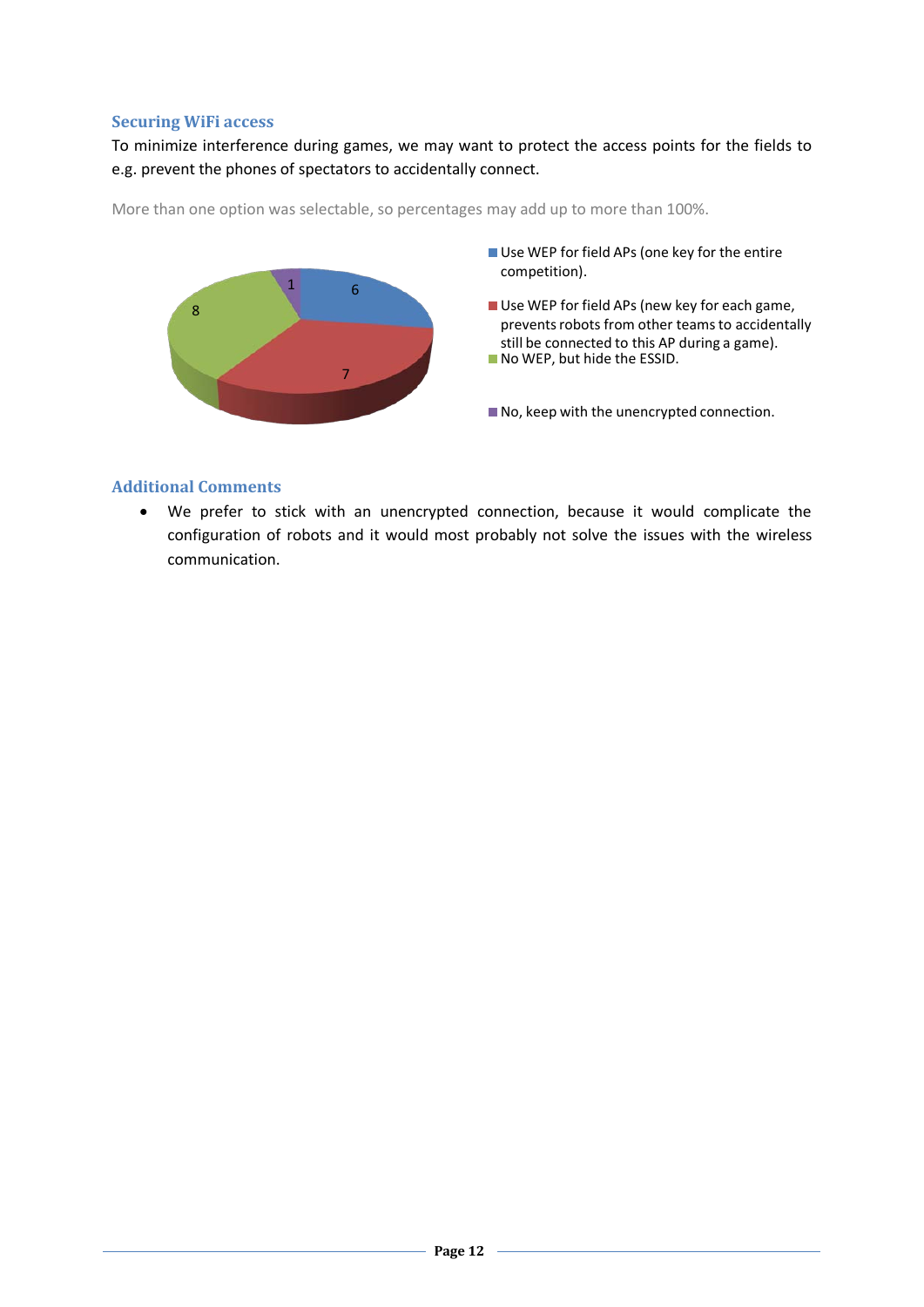### **Securing WiFi access**

To minimize interference during games, we may want to protect the access points for the fields to e.g. prevent the phones of spectators to accidentally connect.

More than one option was selectable, so percentages may add up to more than 100%.



#### **Additional Comments**

• We prefer to stick with an unencrypted connection, because it would complicate the configuration of robots and it would most probably not solve the issues with the wireless communication.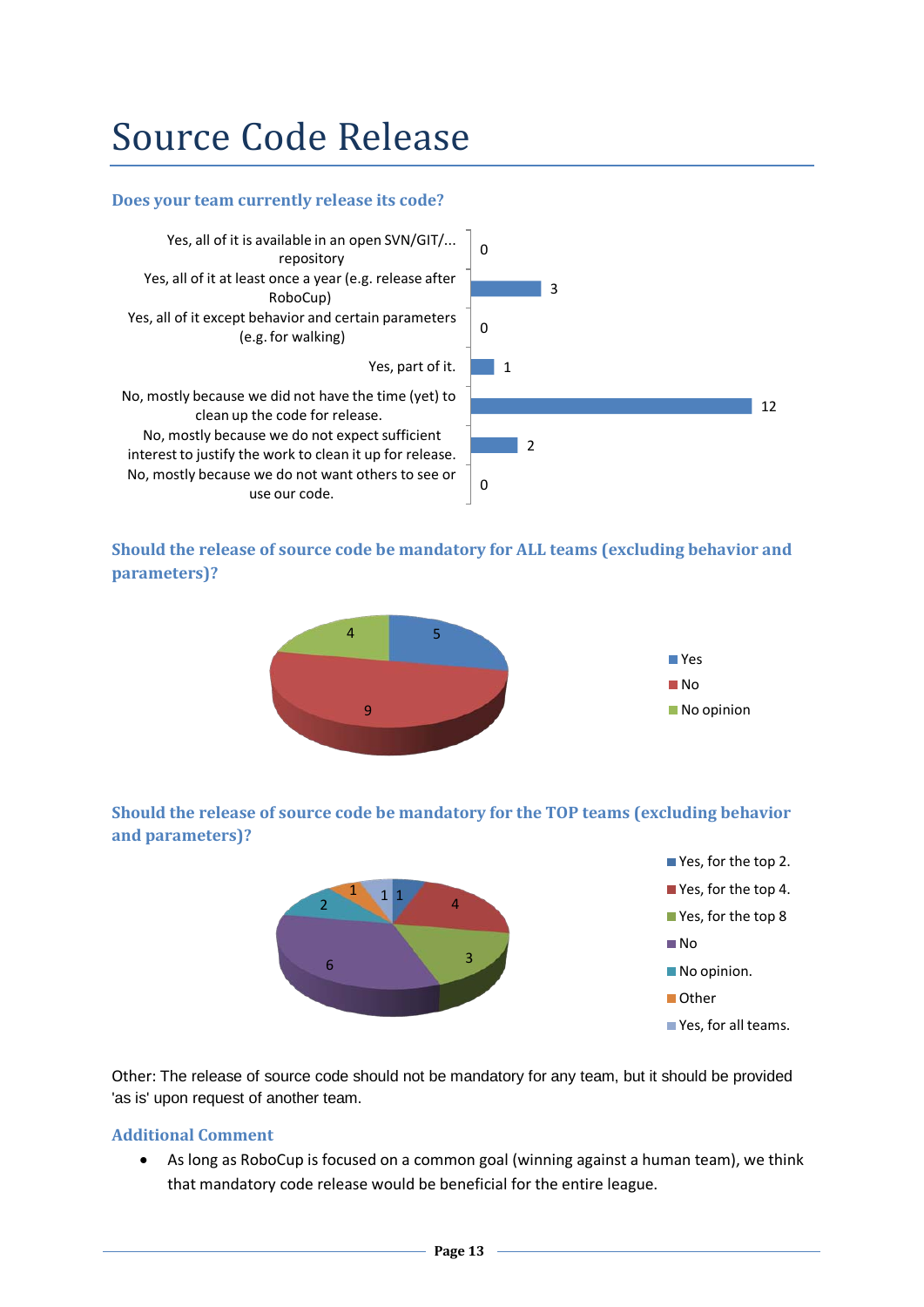### Source Code Release

### **Does your team currently release its code?**



### **Should the release of source code be mandatory for ALL teams (excluding behavior and parameters)?**



### **Should the release of source code be mandatory for the TOP teams (excluding behavior and parameters)?**



Other: The release of source code should not be mandatory for any team, but it should be provided 'as is' upon request of another team.

### **Additional Comment**

• As long as RoboCup is focused on a common goal (winning against a human team), we think that mandatory code release would be beneficial for the entire league.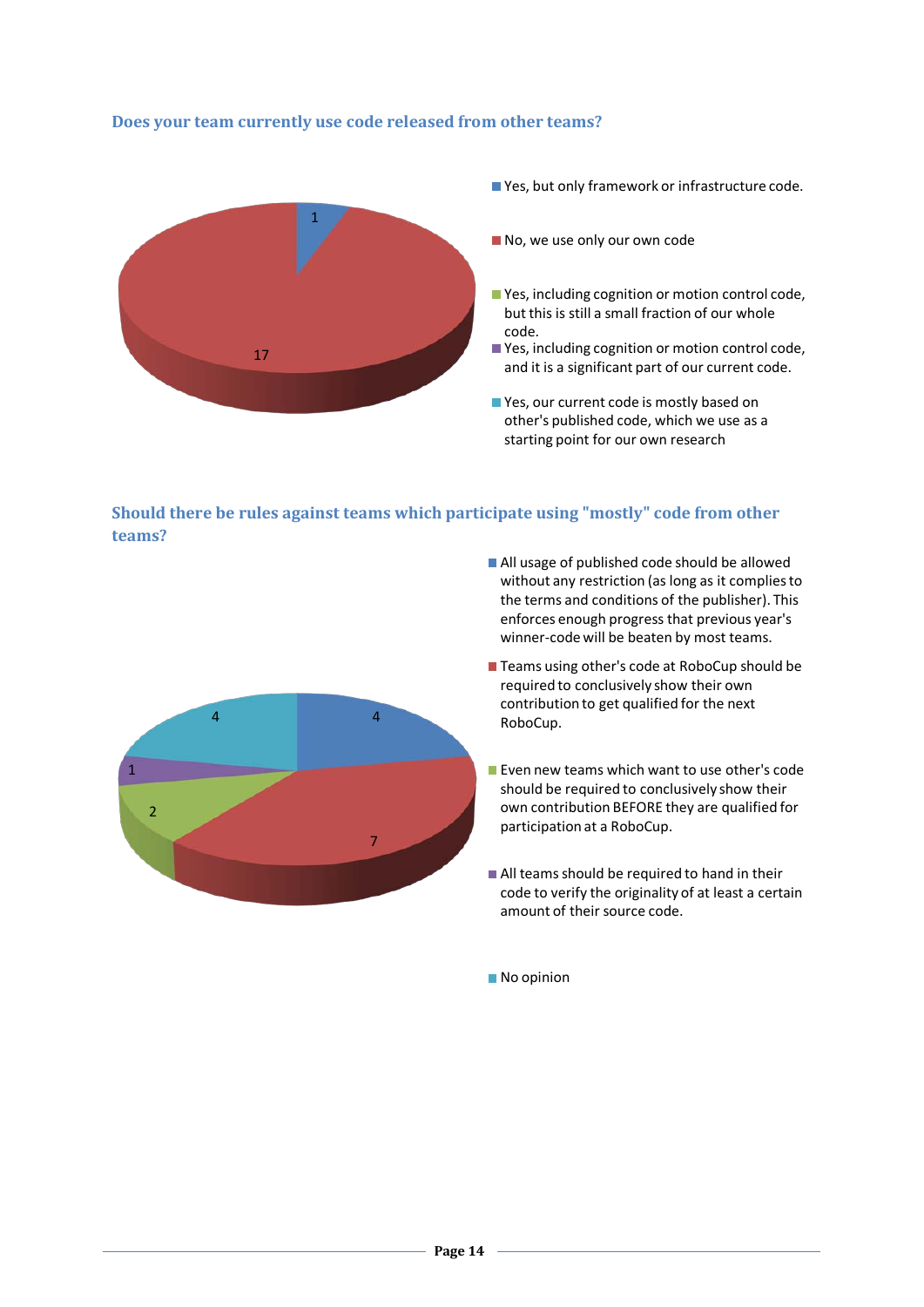### **Does your team currently use code released from other teams?**



■ Yes, but only framework or infrastructure code.

No, we use only our own code

- Yes, including cognition or motion control code, but this is still a small fraction of our whole code.
- Yes, including cognition or motion control code, and it is a significant part of our current code.
- Yes, our current code is mostly based on other's published code, which we use as a starting point for our own research

**Should there be rules against teams which participate using "mostly" code from other teams?**



- All usage of published code should be allowed without any restriction (as long as it complies to the terms and conditions of the publisher). This enforces enough progress that previous year's winner-code will be beaten by most teams.
- Teams using other's code at RoboCup should be required to conclusively show their own contribution to get qualified for the next RoboCup.
- **Exence we below teams which want to use other's code** should be required to conclusively show their own contribution BEFORE they are qualified for participation at a RoboCup.
- All teams should be required to hand in their code to verify the originality of at least a certain amount of their source code.

No opinion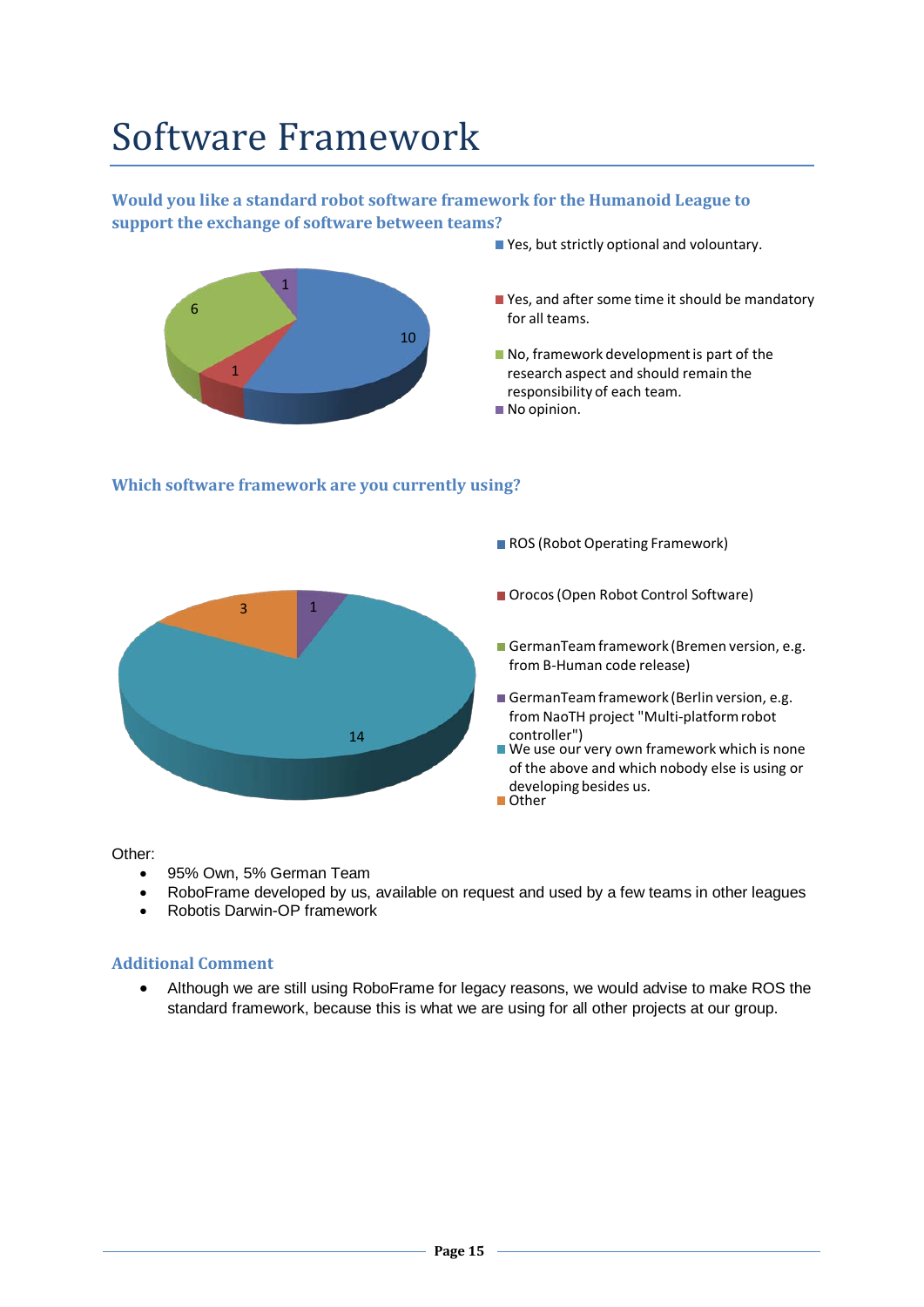## Software Framework

### **Would you like a standard robot software framework for the Humanoid League to support the exchange of software between teams?**



Yes, but strictly optional and volountary.

ROS (Robot Operating Framework)

#### **Which software framework are you currently using?**



#### Other:

- 95% Own, 5% German Team
- RoboFrame developed by us, available on request and used by a few teams in other leagues
- Robotis Darwin-OP framework

#### **Additional Comment**

• Although we are still using RoboFrame for legacy reasons, we would advise to make ROS the standard framework, because this is what we are using for all other projects at our group.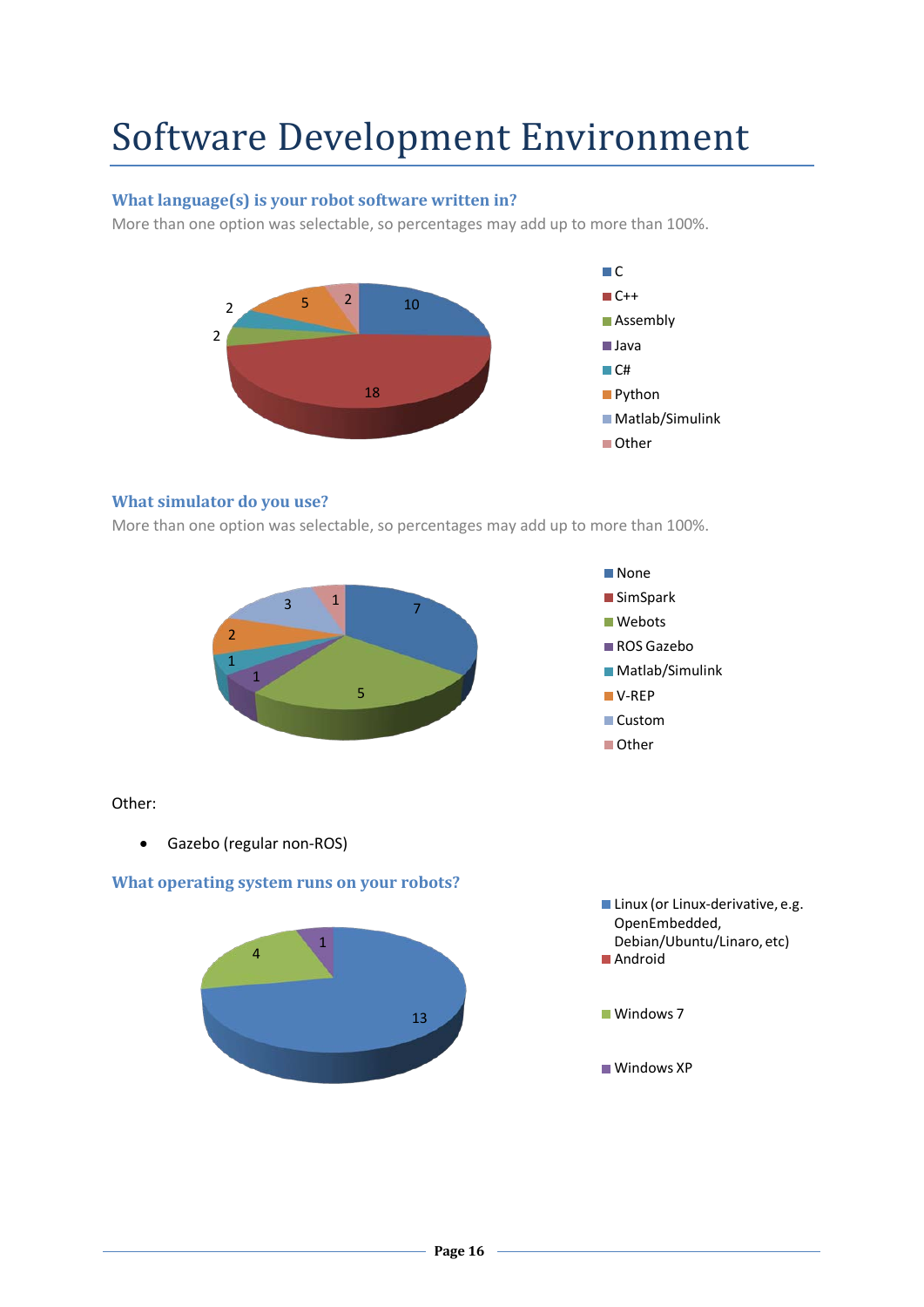## Software Development Environment

### **What language(s) is your robot software written in?**

More than one option was selectable, so percentages may add up to more than 100%.



### **What simulator do you use?**

More than one option was selectable, so percentages may add up to more than 100%.





- Matlab/Simulink
- V-REP
- Custom
- **Other**

### Other:

• Gazebo (regular non-ROS)

### **What operating system runs on your robots?**



- **Linux (or Linux-derivative, e.g.** OpenEmbedded, Debian/Ubuntu/Linaro, etc) ■ Android
- Windows<sub>7</sub>
- Windows XP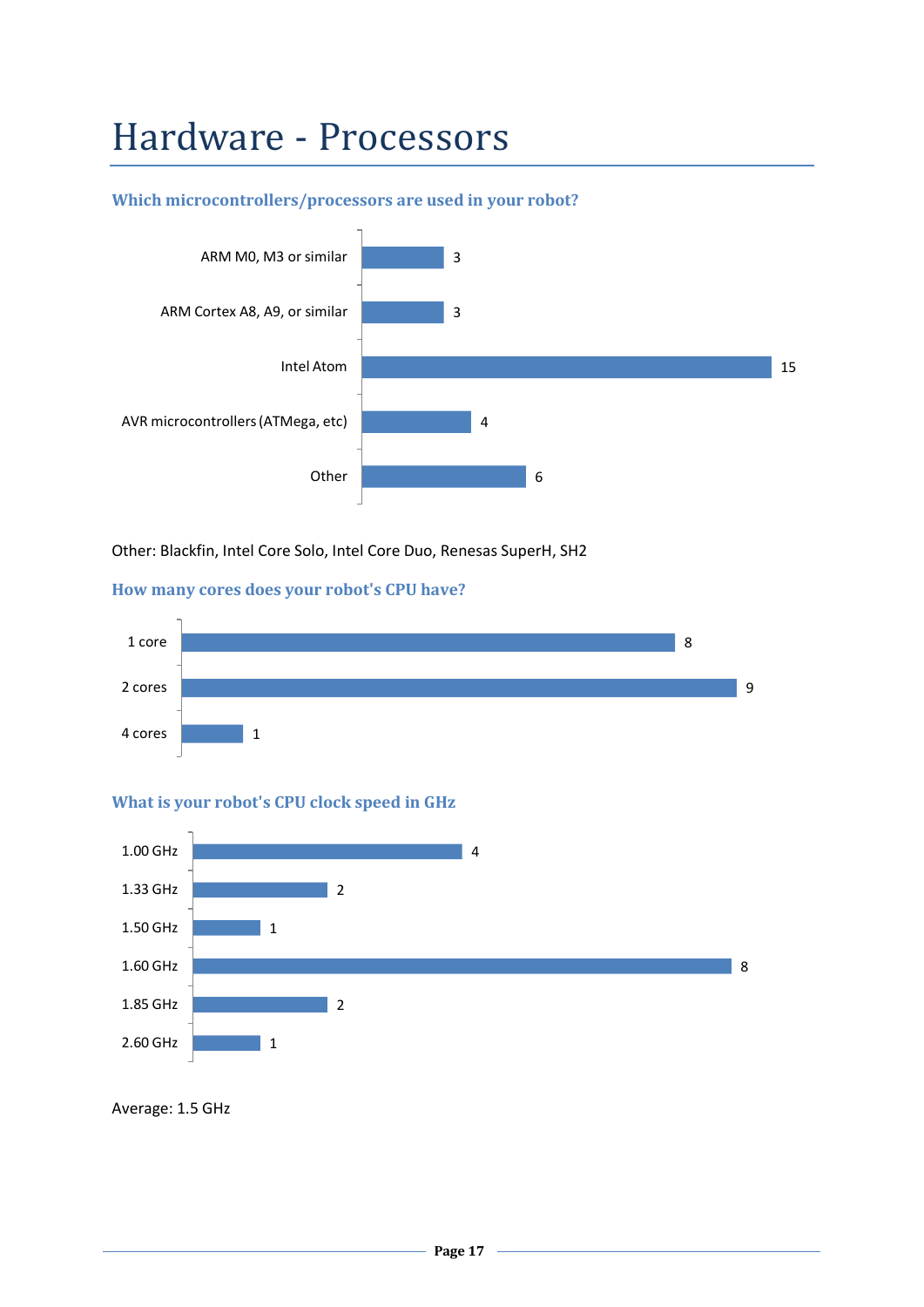### Hardware - Processors

### **Which microcontrollers/processors are used in your robot?**



Other: Blackfin, Intel Core Solo, Intel Core Duo, Renesas SuperH, SH2

#### **How many cores does your robot's CPU have?**



### **What is your robot's CPU clock speed in GHz**



Average: 1.5 GHz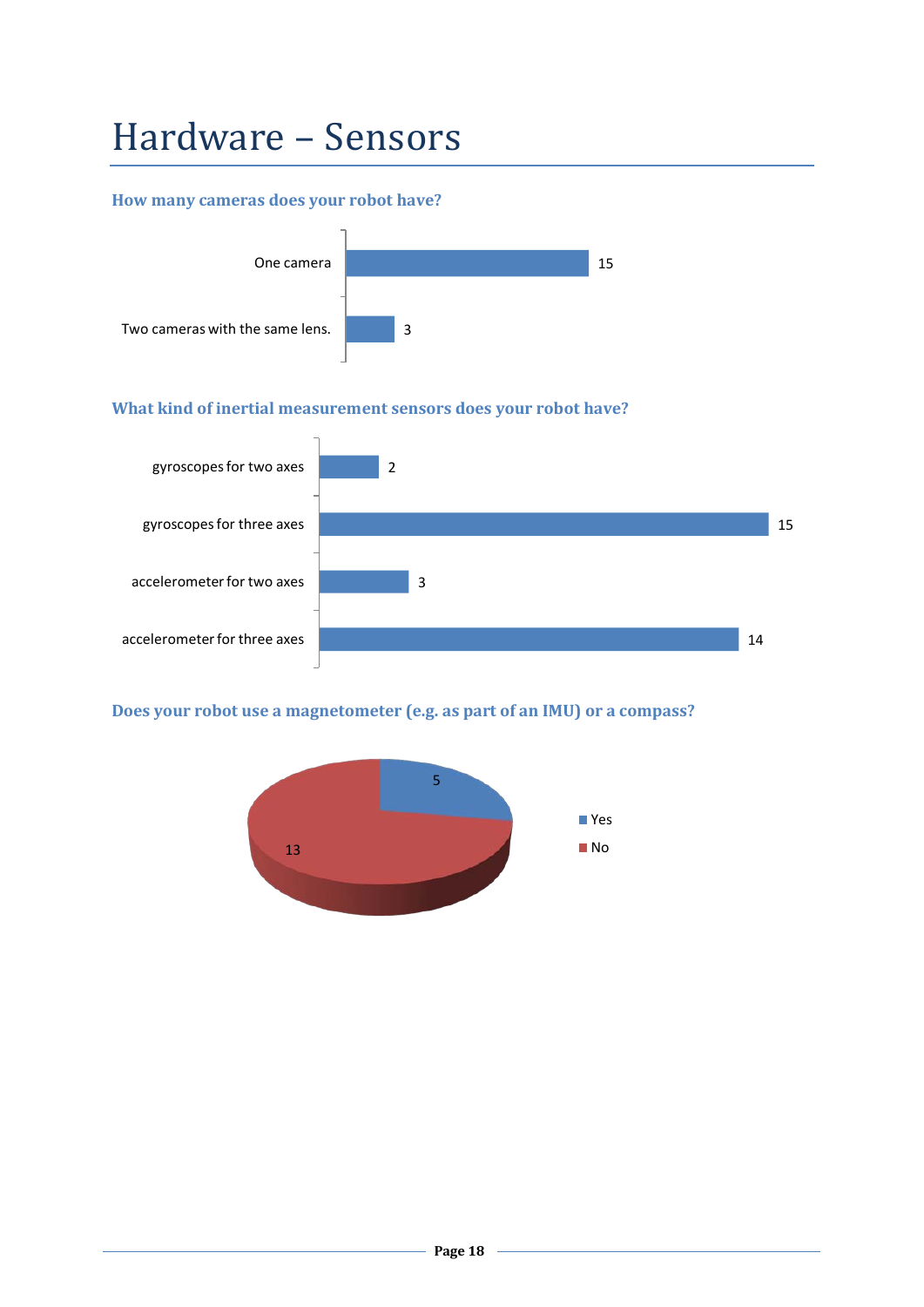## Hardware – Sensors

### **How many cameras does your robot have?**



### **What kind of inertial measurement sensors does your robot have?**



### **Does your robot use a magnetometer (e.g. as part of an IMU) or a compass?**